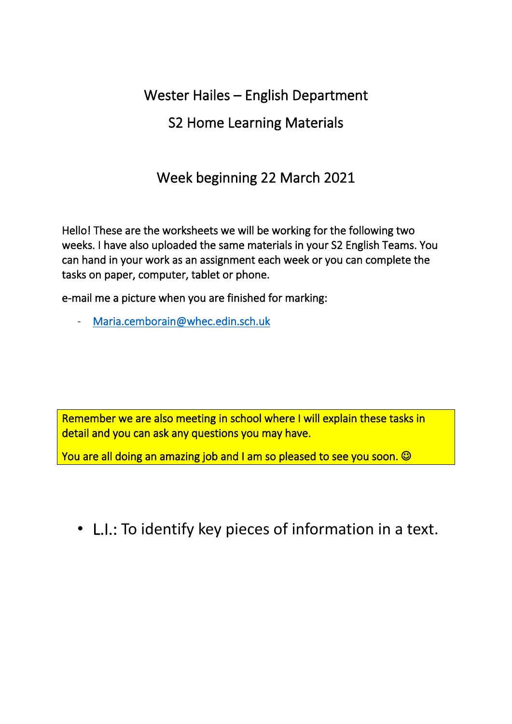# Wester Hailes – English Department

# S2 Home Learning Materials

# Week beginning 22 March 2021

Hello! These are the worksheets we will be working for the following two weeks. I have also uploaded the same materials in your S2 English Teams. You can hand in your work as an assignment each week or you can complete the tasks on paper, computer, tablet or phone.

e-mail me a picture when you are finished for marking:

Maria.cemborain@whec.edin.sch.uk

Remember we are also meeting in school where I will explain these tasks in detail and you can ask any questions you may have.

You are all doing an amazing job and I am so pleased to see you soon.  $\odot$ 

• L.I.: To identify key pieces of information in a text.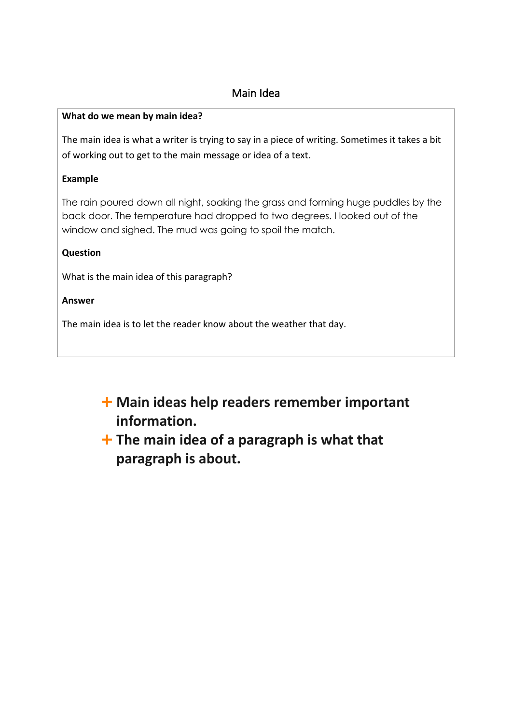### Main Idea

#### **What do we mean by main idea?**

The main idea is what a writer is trying to say in a piece of writing. Sometimes it takes a bit of working out to get to the main message or idea of a text.

#### **Example**

The rain poured down all night, soaking the grass and forming huge puddles by the back door. The temperature had dropped to two degrees. I looked out of the window and sighed. The mud was going to spoil the match.

#### **Question**

What is the main idea of this paragraph?

#### **Answer**

The main idea is to let the reader know about the weather that day.

- **Main ideas help readers remember important information.**
- **The main idea of a paragraph is what that paragraph is about.**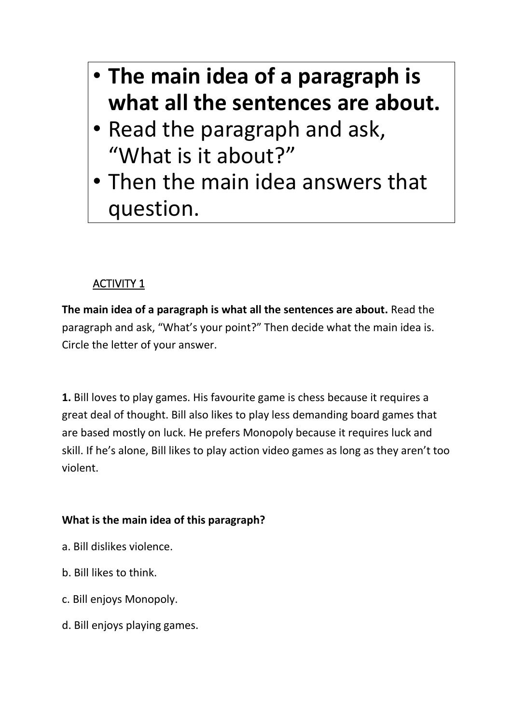- **The main idea of a paragraph is what all the sentences are about.**
- Read the paragraph and ask, "What is it about?"
- Then the main idea answers that question.

**The main idea of a paragraph is what all the sentences are about.** Read the paragraph and ask, "What's your point?" Then decide what the main idea is. Circle the letter of your answer.

**1.** Bill loves to play games. His favourite game is chess because it requires a great deal of thought. Bill also likes to play less demanding board games that are based mostly on luck. He prefers Monopoly because it requires luck and skill. If he's alone, Bill likes to play action video games as long as they aren't too violent.

# **What is the main idea of this paragraph?**

- a. Bill dislikes violence.
- b. Bill likes to think.
- c. Bill enjoys Monopoly.
- d. Bill enjoys playing games.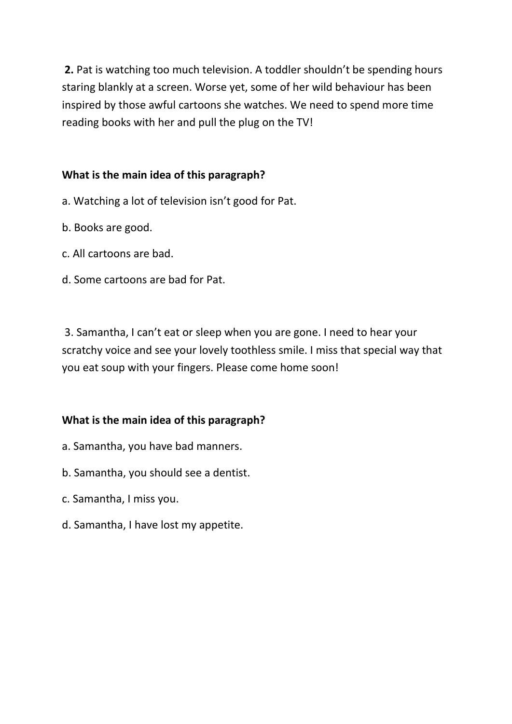**2.** Pat is watching too much television. A toddler shouldn't be spending hours staring blankly at a screen. Worse yet, some of her wild behaviour has been inspired by those awful cartoons she watches. We need to spend more time reading books with her and pull the plug on the TV!

### **What is the main idea of this paragraph?**

- a. Watching a lot of television isn't good for Pat.
- b. Books are good.
- c. All cartoons are bad.
- d. Some cartoons are bad for Pat.

3. Samantha, I can't eat or sleep when you are gone. I need to hear your scratchy voice and see your lovely toothless smile. I miss that special way that you eat soup with your fingers. Please come home soon!

#### **What is the main idea of this paragraph?**

- a. Samantha, you have bad manners.
- b. Samantha, you should see a dentist.
- c. Samantha, I miss you.
- d. Samantha, I have lost my appetite.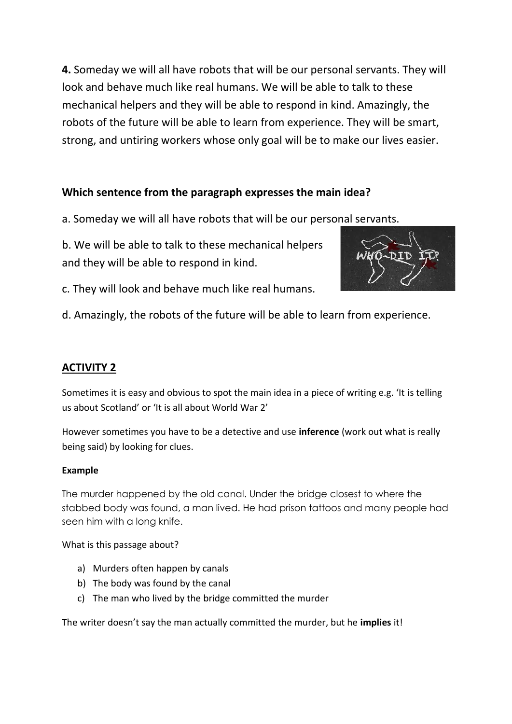**4.** Someday we will all have robots that will be our personal servants. They will look and behave much like real humans. We will be able to talk to these mechanical helpers and they will be able to respond in kind. Amazingly, the robots of the future will be able to learn from experience. They will be smart, strong, and untiring workers whose only goal will be to make our lives easier.

### **Which sentence from the paragraph expresses the main idea?**

a. Someday we will all have robots that will be our personal servants.

b. We will be able to talk to these mechanical helpers and they will be able to respond in kind.



c. They will look and behave much like real humans.

d. Amazingly, the robots of the future will be able to learn from experience.

## **ACTIVITY 2**

Sometimes it is easy and obvious to spot the main idea in a piece of writing e.g. 'It is telling us about Scotland' or 'It is all about World War 2'

However sometimes you have to be a detective and use **inference** (work out what is really being said) by looking for clues.

#### **Example**

The murder happened by the old canal. Under the bridge closest to where the stabbed body was found, a man lived. He had prison tattoos and many people had seen him with a long knife.

What is this passage about?

- a) Murders often happen by canals
- b) The body was found by the canal
- c) The man who lived by the bridge committed the murder

The writer doesn't say the man actually committed the murder, but he **implies** it!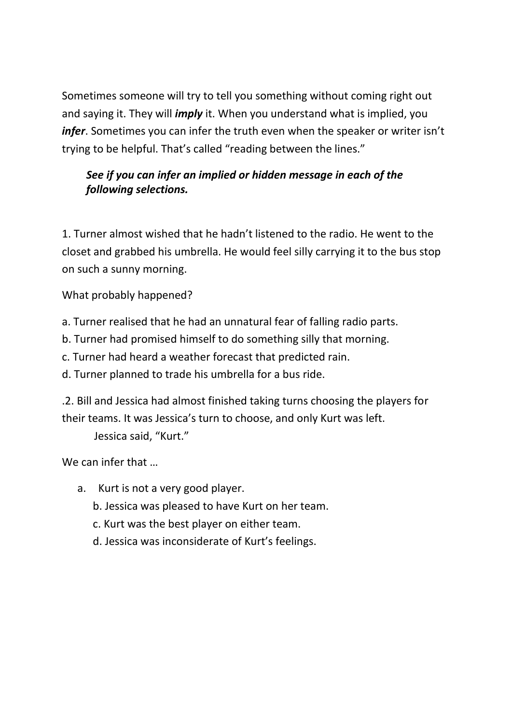Sometimes someone will try to tell you something without coming right out and saying it. They will *imply* it. When you understand what is implied, you *infer*. Sometimes you can infer the truth even when the speaker or writer isn't trying to be helpful. That's called "reading between the lines."

## *See if you can infer an implied or hidden message in each of the following selections.*

1. Turner almost wished that he hadn't listened to the radio. He went to the closet and grabbed his umbrella. He would feel silly carrying it to the bus stop on such a sunny morning.

What probably happened?

a. Turner realised that he had an unnatural fear of falling radio parts.

b. Turner had promised himself to do something silly that morning.

c. Turner had heard a weather forecast that predicted rain.

d. Turner planned to trade his umbrella for a bus ride.

.2. Bill and Jessica had almost finished taking turns choosing the players for their teams. It was Jessica's turn to choose, and only Kurt was left.

Jessica said, "Kurt."

We can infer that …

- a. Kurt is not a very good player.
	- b. Jessica was pleased to have Kurt on her team.
	- c. Kurt was the best player on either team.
	- d. Jessica was inconsiderate of Kurt's feelings.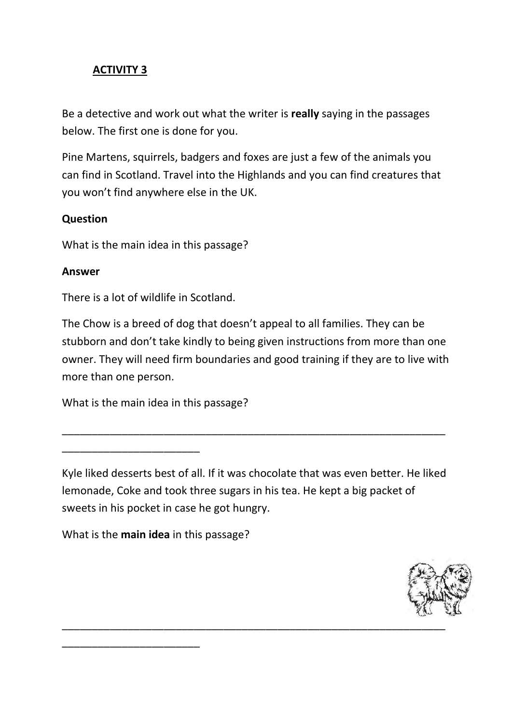Be a detective and work out what the writer is **really** saying in the passages below. The first one is done for you.

Pine Martens, squirrels, badgers and foxes are just a few of the animals you can find in Scotland. Travel into the Highlands and you can find creatures that you won't find anywhere else in the UK.

#### **Question**

What is the main idea in this passage?

#### **Answer**

There is a lot of wildlife in Scotland.

The Chow is a breed of dog that doesn't appeal to all families. They can be stubborn and don't take kindly to being given instructions from more than one owner. They will need firm boundaries and good training if they are to live with more than one person.

What is the main idea in this passage?

\_\_\_\_\_\_\_\_\_\_\_\_\_\_\_\_\_\_\_\_\_\_\_

\_\_\_\_\_\_\_\_\_\_\_\_\_\_\_\_\_\_\_\_\_\_\_

Kyle liked desserts best of all. If it was chocolate that was even better. He liked lemonade, Coke and took three sugars in his tea. He kept a big packet of sweets in his pocket in case he got hungry.

\_\_\_\_\_\_\_\_\_\_\_\_\_\_\_\_\_\_\_\_\_\_\_\_\_\_\_\_\_\_\_\_\_\_\_\_\_\_\_\_\_\_\_\_\_\_\_\_\_\_\_\_\_\_\_\_\_\_\_\_\_\_\_\_

What is the **main idea** in this passage?

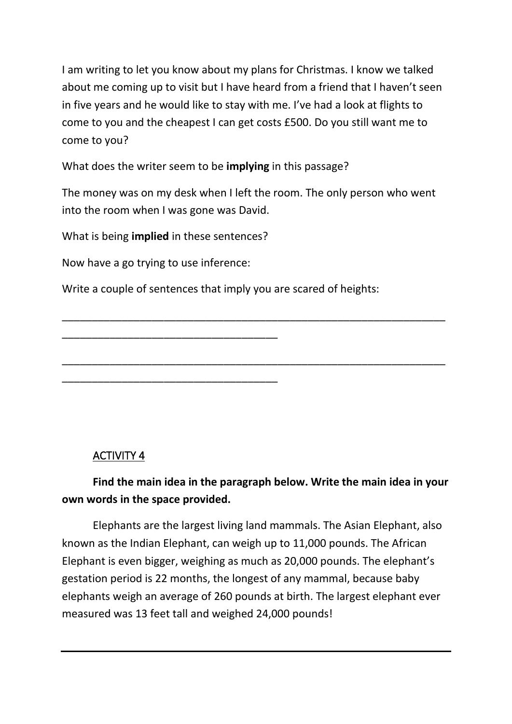I am writing to let you know about my plans for Christmas. I know we talked about me coming up to visit but I have heard from a friend that I haven't seen in five years and he would like to stay with me. I've had a look at flights to come to you and the cheapest I can get costs £500. Do you still want me to come to you?

What does the writer seem to be **implying** in this passage?

The money was on my desk when I left the room. The only person who went into the room when I was gone was David.

\_\_\_\_\_\_\_\_\_\_\_\_\_\_\_\_\_\_\_\_\_\_\_\_\_\_\_\_\_\_\_\_\_\_\_\_\_\_\_\_\_\_\_\_\_\_\_\_\_\_\_\_\_\_\_\_\_\_\_\_\_\_\_\_

\_\_\_\_\_\_\_\_\_\_\_\_\_\_\_\_\_\_\_\_\_\_\_\_\_\_\_\_\_\_\_\_\_\_\_\_\_\_\_\_\_\_\_\_\_\_\_\_\_\_\_\_\_\_\_\_\_\_\_\_\_\_\_\_

What is being **implied** in these sentences?

\_\_\_\_\_\_\_\_\_\_\_\_\_\_\_\_\_\_\_\_\_\_\_\_\_\_\_\_\_\_\_\_\_\_\_\_

\_\_\_\_\_\_\_\_\_\_\_\_\_\_\_\_\_\_\_\_\_\_\_\_\_\_\_\_\_\_\_\_\_\_\_\_

Now have a go trying to use inference:

Write a couple of sentences that imply you are scared of heights:

## ACTIVITY 4

# **Find the main idea in the paragraph below. Write the main idea in your own words in the space provided.**

Elephants are the largest living land mammals. The Asian Elephant, also known as the Indian Elephant, can weigh up to 11,000 pounds. The African Elephant is even bigger, weighing as much as 20,000 pounds. The elephant's gestation period is 22 months, the longest of any mammal, because baby elephants weigh an average of 260 pounds at birth. The largest elephant ever measured was 13 feet tall and weighed 24,000 pounds!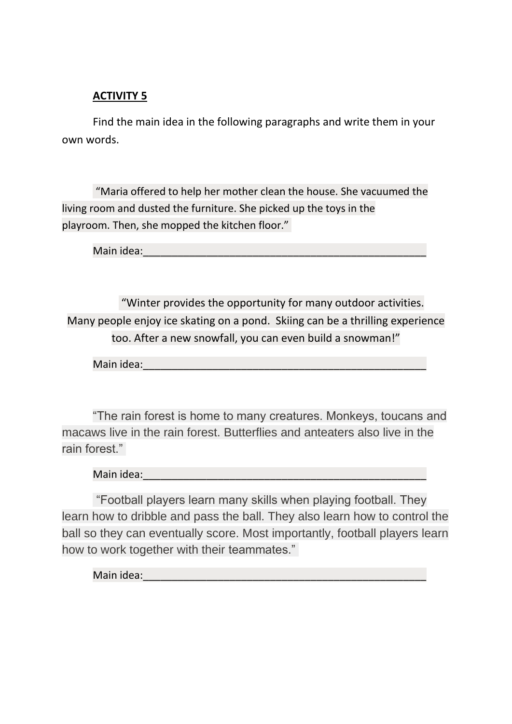Find the main idea in the following paragraphs and write them in your own words.

"Maria offered to help her mother clean the house. She vacuumed the living room and dusted the furniture. She picked up the toys in the playroom. Then, she mopped the kitchen floor."

Main idea:

"Winter provides the opportunity for many outdoor activities. Many people enjoy ice skating on a pond. Skiing can be a thrilling experience too. After a new snowfall, you can even build a snowman!"

Main idea:

"The rain forest is home to many creatures. Monkeys, toucans and macaws live in the rain forest. Butterflies and anteaters also live in the rain forest."

Main idea:\_\_\_\_\_\_\_\_\_\_\_\_\_\_\_\_\_\_\_\_\_\_\_\_\_\_\_\_\_\_\_\_\_\_\_\_\_\_\_\_\_\_\_\_\_\_\_\_\_

"Football players learn many skills when playing football. They learn how to dribble and pass the ball. They also learn how to control the ball so they can eventually score. Most importantly, football players learn how to work together with their teammates."

Main idea: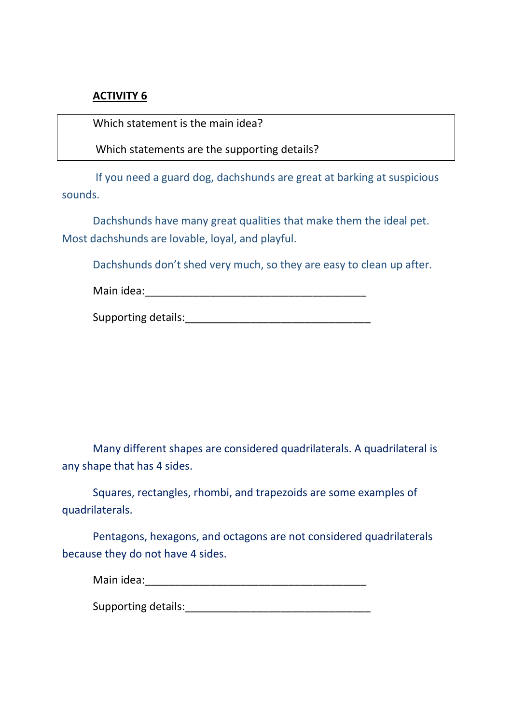Which statement is the main idea?

Which statements are the supporting details?

If you need a guard dog, dachshunds are great at barking at suspicious sounds.

Dachshunds have many great qualities that make them the ideal pet. Most dachshunds are lovable, loyal, and playful.

Dachshunds don't shed very much, so they are easy to clean up after.

| Supporting details: |
|---------------------|
|---------------------|

Many different shapes are considered quadrilaterals. A quadrilateral is any shape that has 4 sides.

Squares, rectangles, rhombi, and trapezoids are some examples of quadrilaterals.

Pentagons, hexagons, and octagons are not considered quadrilaterals because they do not have 4 sides.

Supporting details: